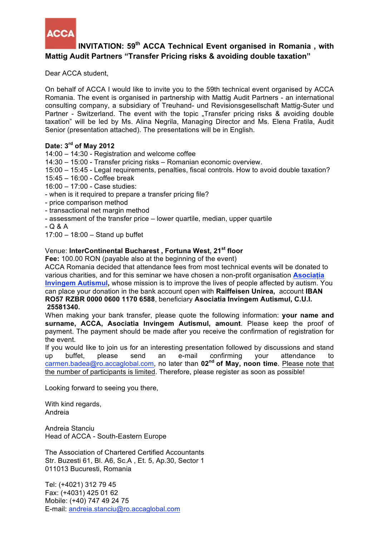

# **INVITATION: 59th ACCA Technical Event organised in Romania , with Mattig Audit Partners "Transfer Pricing risks & avoiding double taxation"**

Dear ACCA student,

On behalf of ACCA I would like to invite you to the 59th technical event organised by ACCA Romania. The event is organised in partnership with Mattig Audit Partners - an international consulting company, a subsidiary of Treuhand- und Revisionsgesellschaft Mattig-Suter und Partner - Switzerland. The event with the topic "Transfer pricing risks & avoiding double taxation" will be led by Ms. Alina Negrila, Managing Director and Ms. Elena Fratila, Audit Senior (presentation attached). The presentations will be in English.

## **Date: 3rd of May 2012**

14:00 – 14:30 - Registration and welcome coffee

14:30 – 15:00 - Transfer pricing risks – Romanian economic overview.

15:00 – 15:45 - Legal requirements, penalties, fiscal controls. How to avoid double taxation?

15:45 – 16:00 - Coffee break

16:00 – 17:00 - Case studies:

- when is it required to prepare a transfer pricing file?
- price comparison method
- transactional net margin method
- assessment of the transfer price lower quartile, median, upper quartile

- Q & A

17:00 – 18:00 – Stand up buffet

# Venue: **InterContinental Bucharest , Fortuna West, 21st floor**

**Fee:** 100.00 RON (payable also at the beginning of the event)

ACCA Romania decided that attendance fees from most technical events will be donated to various charities, and for this seminar we have chosen a non-profit organisation **Asociația Invingem Autismul,** whose mission is to improve the lives of people affected by autism. You can place your donation in the bank account open with **Raiffeisen Unirea,** account **IBAN RO57 RZBR 0000 0600 1170 6588**, beneficiary **Asociatia Invingem Autismul, C.U.I. 25581340.**

When making your bank transfer, please quote the following information: **your name and surname, ACCA, Asociatia Invingem Autismul, amount**. Please keep the proof of payment. The payment should be made after you receive the confirmation of registration for the event.

If you would like to join us for an interesting presentation followed by discussions and stand up buffet, please send an e-mail confirming your attendance to carmen.badea@ro.accaglobal.com, no later than **02nd of May, noon time**. Please note that the number of participants is limited. Therefore, please register as soon as possible!

Looking forward to seeing you there,

With kind regards, Andreia

Andreia Stanciu Head of ACCA - South-Eastern Europe

The Association of Chartered Certified Accountants Str. Buzesti 61, Bl. A6, Sc.A , Et. 5, Ap.30, Sector 1 011013 Bucuresti, Romania

Tel: (+4021) 312 79 45 Fax: (+4031) 425 01 62 Mobile: (+40) 747 49 24 75 E-mail: andreia.stanciu@ro.accaglobal.com